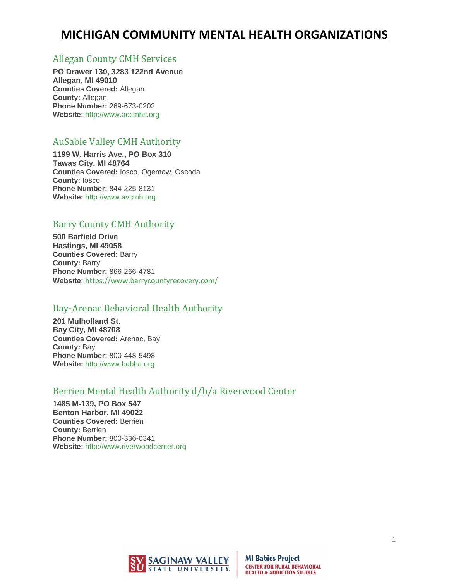### [Allegan County CMH Services](http://www.accmhs.org/)

**PO Drawer 130, 3283 122nd Avenue Allegan, MI 49010 Counties Covered:** Allegan **County:** Allegan **Phone Number:** 269-673-0202 **Website:** [http://www.accmhs.org](http://www.accmhs.org/)

## [AuSable Valley CMH Authority](http://www.avcmh.org/)

**1199 W. Harris Ave., PO Box 310 Tawas City, MI 48764 Counties Covered:** Iosco, Ogemaw, Oscoda **County:** Iosco **Phone Number:** 844-225-8131 **Website:** [http://www.avcmh.org](http://www.avcmh.org/)

## [Barry County CMH Authority](http://www.bccmha.org/)

**500 Barfield Drive Hastings, MI 49058 Counties Covered:** Barry **County:** Barry **Phone Number:** 866-266-4781 **Website:** <https://www.barrycountyrecovery.com/>

### [Bay-Arenac Behavioral Health Authority](http://www.babha.org/)

**201 Mulholland St. Bay City, MI 48708 Counties Covered:** Arenac, Bay **County:** Bay **Phone Number:** 800-448-5498 **Website:** [http://www.babha.org](http://www.babha.org/)

## [Berrien Mental Health Authority d/b/a Riverwood Center](http://www.riverwoodcenter.org/)

**1485 M-139, PO Box 547 Benton Harbor, MI 49022 Counties Covered:** Berrien **County:** Berrien **Phone Number:** 800-336-0341 **Website:** [http://www.riverwoodcenter.org](http://www.riverwoodcenter.org/)

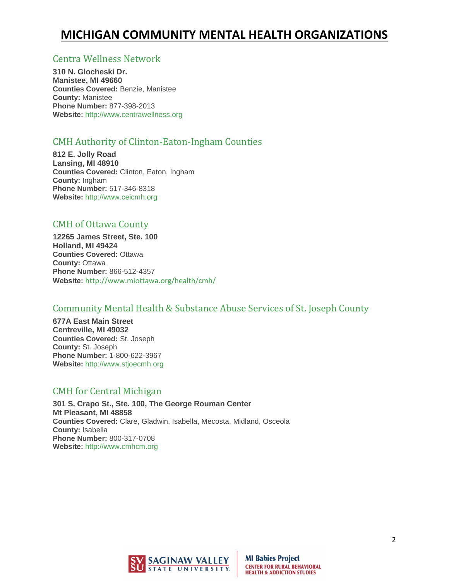#### [Centra Wellness Network](http://www.centrawellness.org/)

**310 N. Glocheski Dr. Manistee, MI 49660 Counties Covered:** Benzie, Manistee **County:** Manistee **Phone Number:** 877-398-2013 **Website:** [http://www.centrawellness.org](http://www.centrawellness.org/)

### [CMH Authority of Clinton-Eaton-Ingham Counties](http://www.ceicmh.org/)

**812 E. Jolly Road Lansing, MI 48910 Counties Covered:** Clinton, Eaton, Ingham **County:** Ingham **Phone Number:** 517-346-8318 **Website:** [http://www.ceicmh.org](http://www.ceicmh.org/)

### [CMH of Ottawa County](http://www.miottawa.org/)

**12265 James Street, Ste. 100 Holland, MI 49424 Counties Covered:** Ottawa **County:** Ottawa **Phone Number:** 866-512-4357 **Website:** <http://www.miottawa.org/health/cmh/>

### [Community Mental Health & Substance Abuse Services of St. Joseph County](http://www.stjoecmh.org/)

**677A East Main Street Centreville, MI 49032 Counties Covered:** St. Joseph **County:** St. Joseph **Phone Number:** 1-800-622-3967 **Website:** [http://www.stjoecmh.org](http://www.stjoecmh.org/)

### [CMH for Central Michigan](http://www.cmhcm.org/)

**301 S. Crapo St., Ste. 100, The George Rouman Center Mt Pleasant, MI 48858 Counties Covered:** Clare, Gladwin, Isabella, Mecosta, Midland, Osceola **County:** Isabella **Phone Number:** 800-317-0708 **Website:** [http://www.cmhcm.org](http://www.cmhcm.org/)

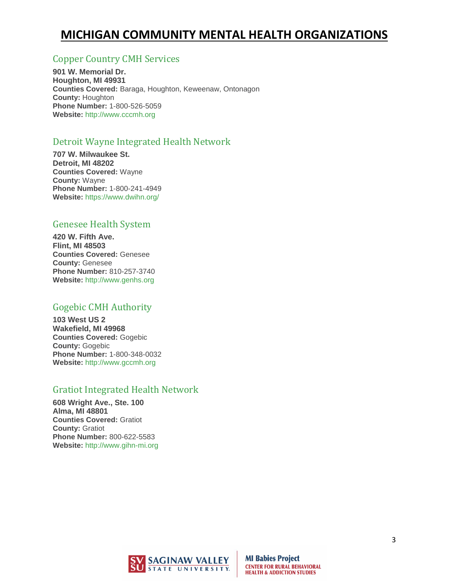### [Copper Country CMH Services](http://www.cccmh.org/)

**901 W. Memorial Dr. Houghton, MI 49931 Counties Covered:** Baraga, Houghton, Keweenaw, Ontonagon **County:** Houghton **Phone Number:** 1-800-526-5059 **Website:** [http://www.cccmh.org](http://www.cccmh.org/)

### [Detroit Wayne Integrated Health Network](http://www.dwmha.com/)

**707 W. Milwaukee St. Detroit, MI 48202 Counties Covered:** Wayne **County:** Wayne **Phone Number:** 1-800-241-4949 **Website:** <https://www.dwihn.org/>

### [Genesee Health System](http://www.genhs.org/)

**420 W. Fifth Ave. Flint, MI 48503 Counties Covered:** Genesee **County:** Genesee **Phone Number:** 810-257-3740 **Website:** [http://www.genhs.org](http://www.genhs.org/)

#### [Gogebic CMH Authority](http://www.gccmh.org/)

**103 West US 2 Wakefield, MI 49968 Counties Covered:** Gogebic **County:** Gogebic **Phone Number:** 1-800-348-0032 **Website:** [http://www.gccmh.org](http://www.gccmh.org/)

#### [Gratiot Integrated Health Network](http://www.gihn-mi.org/)

**608 Wright Ave., Ste. 100 Alma, MI 48801 Counties Covered:** Gratiot **County:** Gratiot **Phone Number:** 800-622-5583 **Website:** [http://www.gihn-mi.org](http://www.gihn-mi.org/)

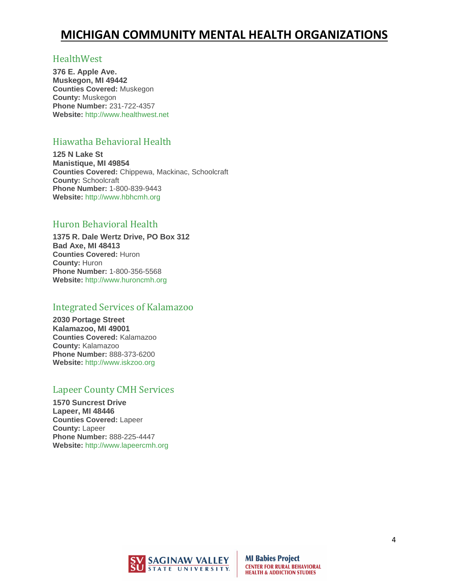#### [HealthWest](http://www.healthwest.net/)

**376 E. Apple Ave. Muskegon, MI 49442 Counties Covered:** Muskegon **County:** Muskegon **Phone Number:** 231-722-4357 **Website:** [http://www.healthwest.net](http://www.healthwest.net/)

### [Hiawatha Behavioral Health](http://www.hbhcmh.org/)

**125 N Lake St Manistique, MI 49854 Counties Covered:** Chippewa, Mackinac, Schoolcraft **County:** Schoolcraft **Phone Number:** 1-800-839-9443 **Website:** [http://www.hbhcmh.org](http://www.hbhcmh.org/)

### [Huron Behavioral Health](http://www.huroncmh.org/)

**1375 R. Dale Wertz Drive, PO Box 312 Bad Axe, MI 48413 Counties Covered:** Huron **County:** Huron **Phone Number:** 1-800-356-5568 **Website:** [http://www.huroncmh.org](http://www.huroncmh.org/)

### [Integrated Services of Kalamazoo](http://www.iskzoo.org/)

**2030 Portage Street Kalamazoo, MI 49001 Counties Covered:** Kalamazoo **County:** Kalamazoo **Phone Number:** 888-373-6200 **Website:** [http://www.iskzoo.org](http://www.iskzoo.org/)

### [Lapeer County CMH Services](http://www.lapeercmh.org/)

**1570 Suncrest Drive Lapeer, MI 48446 Counties Covered:** Lapeer **County:** Lapeer **Phone Number:** 888-225-4447 **Website:** [http://www.lapeercmh.org](http://www.lapeercmh.org/)

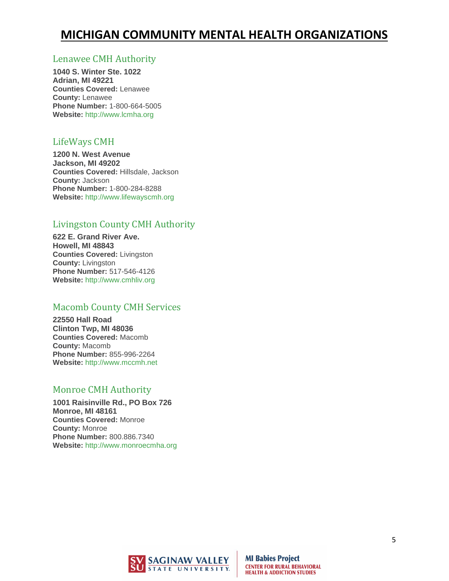#### [Lenawee CMH Authority](http://www.lcmha.org/)

**1040 S. Winter Ste. 1022 Adrian, MI 49221 Counties Covered:** Lenawee **County:** Lenawee **Phone Number:** 1-800-664-5005 **Website:** [http://www.lcmha.org](http://www.lcmha.org/)

#### [LifeWays CMH](http://www.lifewayscmh.org/)

**1200 N. West Avenue Jackson, MI 49202 Counties Covered:** Hillsdale, Jackson **County:** Jackson **Phone Number:** 1-800-284-8288 **Website:** [http://www.lifewayscmh.org](http://www.lifewayscmh.org/)

## [Livingston County CMH Authority](http://www.cmhliv.org/)

**622 E. Grand River Ave. Howell, MI 48843 Counties Covered:** Livingston **County:** Livingston **Phone Number:** 517-546-4126 **Website:** [http://www.cmhliv.org](http://www.cmhliv.org/)

#### [Macomb County CMH Services](http://www.mccmh.net/)

**22550 Hall Road Clinton Twp, MI 48036 Counties Covered:** Macomb **County:** Macomb **Phone Number:** 855-996-2264 **Website:** [http://www.mccmh.net](http://www.mccmh.net/)

### [Monroe CMH Authority](http://www.monroecmha.org/)

**1001 Raisinville Rd., PO Box 726 Monroe, MI 48161 Counties Covered:** Monroe **County:** Monroe **Phone Number:** 800.886.7340 **Website:** [http://www.monroecmha.org](http://www.monroecmha.org/)

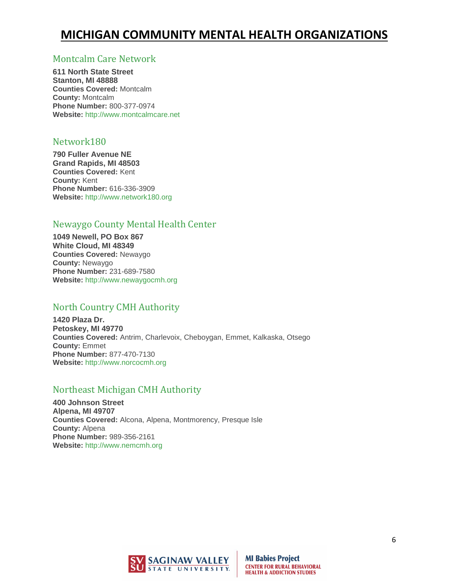#### [Montcalm Care Network](http://www.montcalmcare.net/)

**611 North State Street Stanton, MI 48888 Counties Covered:** Montcalm **County:** Montcalm **Phone Number:** 800-377-0974 **Website:** [http://www.montcalmcare.net](http://www.montcalmcare.net/)

#### [Network180](http://www.network180.org/)

**790 Fuller Avenue NE Grand Rapids, MI 48503 Counties Covered:** Kent **County:** Kent **Phone Number:** 616-336-3909 **Website:** [http://www.network180.org](http://www.network180.org/)

### [Newaygo County Mental Health Center](http://www.newaygocmh.org/)

**1049 Newell, PO Box 867 White Cloud, MI 48349 Counties Covered:** Newaygo **County:** Newaygo **Phone Number:** 231-689-7580 **Website:** [http://www.newaygocmh.org](http://www.newaygocmh.org/)

### [North Country CMH Authority](http://www.norcocmh.org/)

**1420 Plaza Dr. Petoskey, MI 49770 Counties Covered:** Antrim, Charlevoix, Cheboygan, Emmet, Kalkaska, Otsego **County:** Emmet **Phone Number:** 877-470-7130 **Website:** [http://www.norcocmh.org](http://www.norcocmh.org/)

### [Northeast Michigan CMH Authority](http://www.nemcmh.org/)

**400 Johnson Street Alpena, MI 49707 Counties Covered:** Alcona, Alpena, Montmorency, Presque Isle **County:** Alpena **Phone Number:** 989-356-2161 **Website:** [http://www.nemcmh.org](http://www.nemcmh.org/)

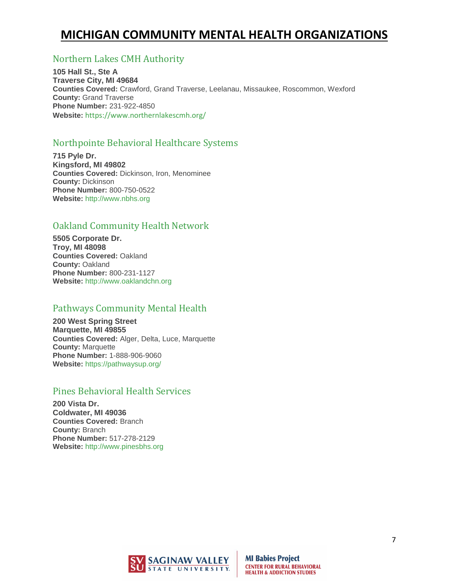### [Northern Lakes CMH Authority](http://www.nlcmh.org/)

**105 Hall St., Ste A Traverse City, MI 49684 Counties Covered:** Crawford, Grand Traverse, Leelanau, Missaukee, Roscommon, Wexford **County:** Grand Traverse **Phone Number:** 231-922-4850 **Website:** <https://www.northernlakescmh.org/>

### [Northpointe Behavioral Healthcare Systems](http://www.nbhs.org/)

**715 Pyle Dr. Kingsford, MI 49802 Counties Covered:** Dickinson, Iron, Menominee **County:** Dickinson **Phone Number:** 800-750-0522 **Website:** [http://www.nbhs.org](http://www.nbhs.org/)

### [Oakland Community Health Network](http://www.oaklandchn.org/)

**5505 Corporate Dr. Troy, MI 48098 Counties Covered:** Oakland **County:** Oakland **Phone Number:** 800-231-1127 **Website:** [http://www.oaklandchn.org](http://www.oaklandchn.org/)

### [Pathways Community Mental Health](http://www.up-pathways.org/)

**200 West Spring Street Marquette, MI 49855 Counties Covered:** Alger, Delta, Luce, Marquette **County:** Marquette **Phone Number:** 1-888-906-9060 **Website:** <https://pathwaysup.org/>

### [Pines Behavioral Health Services](http://www.pinesbhs.org/)

**200 Vista Dr. Coldwater, MI 49036 Counties Covered:** Branch **County:** Branch **Phone Number:** 517-278-2129 **Website:** [http://www.pinesbhs.org](http://www.pinesbhs.org/)

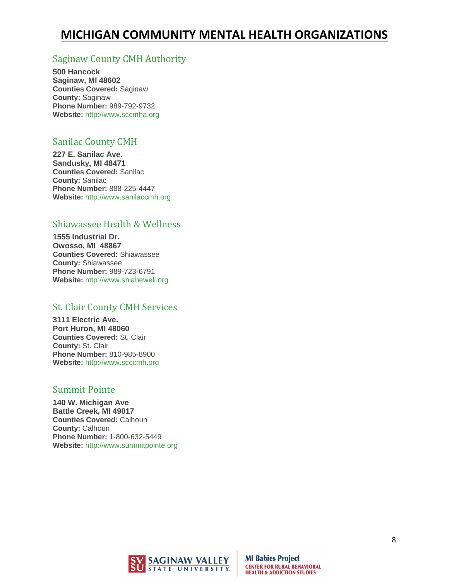## [Saginaw County CMH Authority](http://www.sccmha.org/)

**500 Hancock Saginaw, MI 48602 Counties Covered:** Saginaw **County:** Saginaw **Phone Number:** 989-792-9732 **Website:** [http://www.sccmha.org](http://www.sccmha.org/)

### [Sanilac County CMH](http://www.sanilaccmh.org/)

**227 E. Sanilac Ave. Sandusky, MI 48471 Counties Covered:** Sanilac **County:** Sanilac **Phone Number:** 888-225-4447 **Website:** [http://www.sanilaccmh.org](http://www.sanilaccmh.org/)

### [Shiawassee Health & Wellness](http://www.shiabewell.org/)

**1555 Industrial Dr. Owosso, MI 48867 Counties Covered:** Shiawassee **County:** Shiawassee **Phone Number:** 989-723-6791 **Website:** [http://www.shiabewell.org](http://www.shiabewell.org/)

### [St. Clair County CMH Services](http://www.scccmh.org/)

**3111 Electric Ave. Port Huron, MI 48060 Counties Covered:** St. Clair **County:** St. Clair **Phone Number:** 810-985-8900 **Website:** [http://www.scccmh.org](http://www.scccmh.org/)

### [Summit Pointe](http://www.summitpointe.org/)

**140 W. Michigan Ave Battle Creek, MI 49017 Counties Covered:** Calhoun **County:** Calhoun **Phone Number:** 1-800-632-5449 **Website:** [http://www.summitpointe.org](http://www.summitpointe.org/)

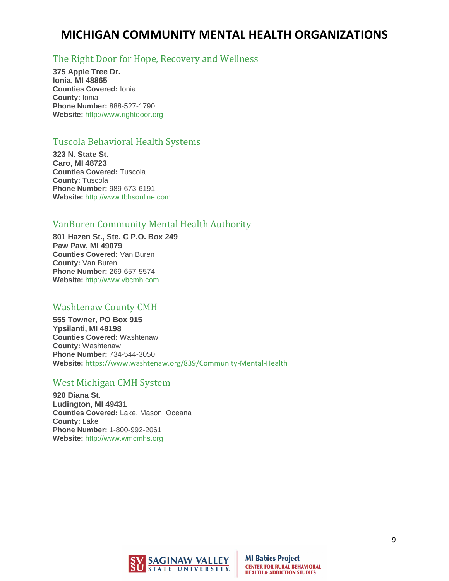### [The Right Door for Hope, Recovery and Wellness](http://www.rightdoor.org/)

**375 Apple Tree Dr. Ionia, MI 48865 Counties Covered:** Ionia **County:** Ionia **Phone Number:** 888-527-1790 **Website:** [http://www.rightdoor.org](http://www.rightdoor.org/)

### [Tuscola Behavioral Health Systems](http://www.tbhsonline.com/)

**323 N. State St. Caro, MI 48723 Counties Covered:** Tuscola **County:** Tuscola **Phone Number:** 989-673-6191 **Website:** [http://www.tbhsonline.com](http://www.tbhsonline.com/)

### [VanBuren Community Mental Health Authority](http://www.vbcmh.com/)

**801 Hazen St., Ste. C P.O. Box 249 Paw Paw, MI 49079 Counties Covered:** Van Buren **County:** Van Buren **Phone Number:** 269-657-5574 **Website:** [http://www.vbcmh.com](http://www.vbcmh.com/)

### [Washtenaw County CMH](http://www.ewashtenaw.org/)

**555 Towner, PO Box 915 Ypsilanti, MI 48198 Counties Covered:** Washtenaw **County:** Washtenaw **Phone Number:** 734-544-3050 **Website:** <https://www.washtenaw.org/839/Community-Mental-Health>

### [West Michigan CMH System](http://www.wmcmhs.org/)

**920 Diana St. Ludington, MI 49431 Counties Covered:** Lake, Mason, Oceana **County:** Lake **Phone Number:** 1-800-992-2061 **Website:** [http://www.wmcmhs.org](http://www.wmcmhs.org/)